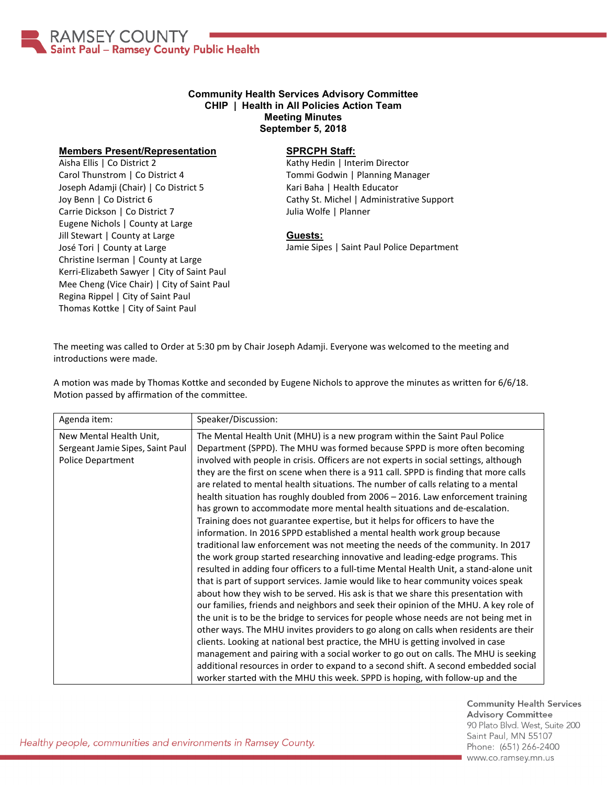

## **Community Health Services Advisory Committee CHIP | Health in All Policies Action Team Meeting Minutes September 5, 2018**

## **Members Present/Representation**

Aisha Ellis | Co District 2 Carol Thunstrom | Co District 4 Joseph Adamji (Chair) | Co District 5 Joy Benn | Co District 6 Carrie Dickson | Co District 7 Eugene Nichols | County at Large Jill Stewart | County at Large José Tori | County at Large Christine Iserman | County at Large Kerri-Elizabeth Sawyer | City of Saint Paul Mee Cheng (Vice Chair) | City of Saint Paul Regina Rippel | City of Saint Paul Thomas Kottke | City of Saint Paul

## **SPRCPH Staff:**

Kathy Hedin | Interim Director Tommi Godwin | Planning Manager Kari Baha | Health Educator Cathy St. Michel | Administrative Support Julia Wolfe | Planner

## **Guests:**

Jamie Sipes | Saint Paul Police Department

The meeting was called to Order at 5:30 pm by Chair Joseph Adamji. Everyone was welcomed to the meeting and introductions were made.

A motion was made by Thomas Kottke and seconded by Eugene Nichols to approve the minutes as written for 6/6/18. Motion passed by affirmation of the committee.

| Agenda item:                                                                            | Speaker/Discussion:                                                                                                                                                                                                                                                                                                                                                                                                                                                                                                                                                                                                                                                                                                                                                                                                                                                                                                                                                                                                                                                                                                                                                                                                                                                                                                                                                                                                                                                                                                                                                                                                                                                                                                                       |
|-----------------------------------------------------------------------------------------|-------------------------------------------------------------------------------------------------------------------------------------------------------------------------------------------------------------------------------------------------------------------------------------------------------------------------------------------------------------------------------------------------------------------------------------------------------------------------------------------------------------------------------------------------------------------------------------------------------------------------------------------------------------------------------------------------------------------------------------------------------------------------------------------------------------------------------------------------------------------------------------------------------------------------------------------------------------------------------------------------------------------------------------------------------------------------------------------------------------------------------------------------------------------------------------------------------------------------------------------------------------------------------------------------------------------------------------------------------------------------------------------------------------------------------------------------------------------------------------------------------------------------------------------------------------------------------------------------------------------------------------------------------------------------------------------------------------------------------------------|
| New Mental Health Unit,<br>Sergeant Jamie Sipes, Saint Paul<br><b>Police Department</b> | The Mental Health Unit (MHU) is a new program within the Saint Paul Police<br>Department (SPPD). The MHU was formed because SPPD is more often becoming<br>involved with people in crisis. Officers are not experts in social settings, although<br>they are the first on scene when there is a 911 call. SPPD is finding that more calls<br>are related to mental health situations. The number of calls relating to a mental<br>health situation has roughly doubled from 2006 - 2016. Law enforcement training<br>has grown to accommodate more mental health situations and de-escalation.<br>Training does not guarantee expertise, but it helps for officers to have the<br>information. In 2016 SPPD established a mental health work group because<br>traditional law enforcement was not meeting the needs of the community. In 2017<br>the work group started researching innovative and leading-edge programs. This<br>resulted in adding four officers to a full-time Mental Health Unit, a stand-alone unit<br>that is part of support services. Jamie would like to hear community voices speak<br>about how they wish to be served. His ask is that we share this presentation with<br>our families, friends and neighbors and seek their opinion of the MHU. A key role of<br>the unit is to be the bridge to services for people whose needs are not being met in<br>other ways. The MHU invites providers to go along on calls when residents are their<br>clients. Looking at national best practice, the MHU is getting involved in case<br>management and pairing with a social worker to go out on calls. The MHU is seeking<br>additional resources in order to expand to a second shift. A second embedded social |
|                                                                                         | worker started with the MHU this week. SPPD is hoping, with follow-up and the                                                                                                                                                                                                                                                                                                                                                                                                                                                                                                                                                                                                                                                                                                                                                                                                                                                                                                                                                                                                                                                                                                                                                                                                                                                                                                                                                                                                                                                                                                                                                                                                                                                             |

**Community Health Services Advisory Committee** 90 Plato Blvd. West, Suite 200 Saint Paul, MN 55107 Phone: (651) 266-2400 www.co.ramsey.mn.us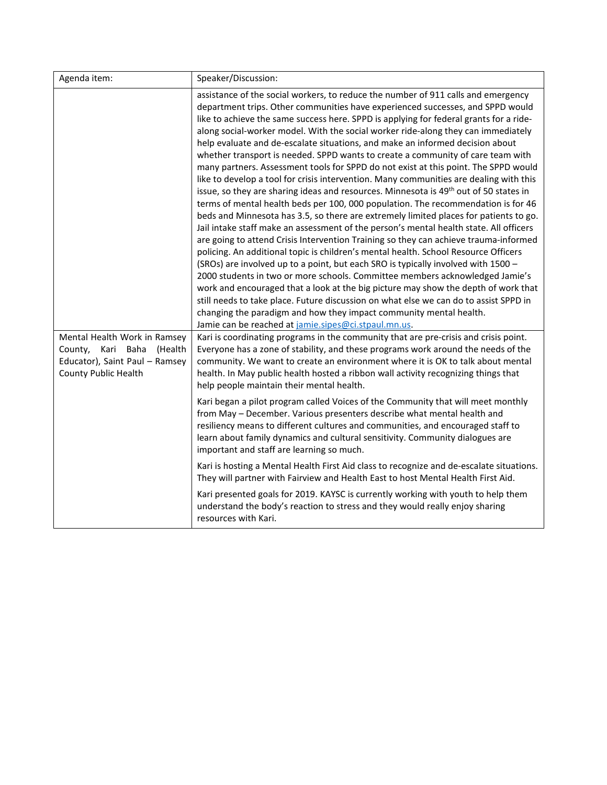| Agenda item:                                                                                                           | Speaker/Discussion:                                                                                                                                                                                                                                                                                                                                                                                                                                                                                                                                                                                                                                                                                                                                                                                                                                                                                                                                                                                                                                                                                                                                                                                                                                                                                                                                                                                                                                                                                                                                                                                                                                                                                                                                   |
|------------------------------------------------------------------------------------------------------------------------|-------------------------------------------------------------------------------------------------------------------------------------------------------------------------------------------------------------------------------------------------------------------------------------------------------------------------------------------------------------------------------------------------------------------------------------------------------------------------------------------------------------------------------------------------------------------------------------------------------------------------------------------------------------------------------------------------------------------------------------------------------------------------------------------------------------------------------------------------------------------------------------------------------------------------------------------------------------------------------------------------------------------------------------------------------------------------------------------------------------------------------------------------------------------------------------------------------------------------------------------------------------------------------------------------------------------------------------------------------------------------------------------------------------------------------------------------------------------------------------------------------------------------------------------------------------------------------------------------------------------------------------------------------------------------------------------------------------------------------------------------------|
|                                                                                                                        | assistance of the social workers, to reduce the number of 911 calls and emergency<br>department trips. Other communities have experienced successes, and SPPD would<br>like to achieve the same success here. SPPD is applying for federal grants for a ride-<br>along social-worker model. With the social worker ride-along they can immediately<br>help evaluate and de-escalate situations, and make an informed decision about<br>whether transport is needed. SPPD wants to create a community of care team with<br>many partners. Assessment tools for SPPD do not exist at this point. The SPPD would<br>like to develop a tool for crisis intervention. Many communities are dealing with this<br>issue, so they are sharing ideas and resources. Minnesota is 49 <sup>th</sup> out of 50 states in<br>terms of mental health beds per 100, 000 population. The recommendation is for 46<br>beds and Minnesota has 3.5, so there are extremely limited places for patients to go.<br>Jail intake staff make an assessment of the person's mental health state. All officers<br>are going to attend Crisis Intervention Training so they can achieve trauma-informed<br>policing. An additional topic is children's mental health. School Resource Officers<br>(SROs) are involved up to a point, but each SRO is typically involved with 1500 -<br>2000 students in two or more schools. Committee members acknowledged Jamie's<br>work and encouraged that a look at the big picture may show the depth of work that<br>still needs to take place. Future discussion on what else we can do to assist SPPD in<br>changing the paradigm and how they impact community mental health.<br>Jamie can be reached at jamie.sipes@ci.stpaul.mn.us. |
| Mental Health Work in Ramsey<br>County, Kari Baha<br>(Health<br>Educator), Saint Paul - Ramsey<br>County Public Health | Kari is coordinating programs in the community that are pre-crisis and crisis point.<br>Everyone has a zone of stability, and these programs work around the needs of the<br>community. We want to create an environment where it is OK to talk about mental<br>health. In May public health hosted a ribbon wall activity recognizing things that<br>help people maintain their mental health.                                                                                                                                                                                                                                                                                                                                                                                                                                                                                                                                                                                                                                                                                                                                                                                                                                                                                                                                                                                                                                                                                                                                                                                                                                                                                                                                                       |
|                                                                                                                        | Kari began a pilot program called Voices of the Community that will meet monthly<br>from May - December. Various presenters describe what mental health and<br>resiliency means to different cultures and communities, and encouraged staff to<br>learn about family dynamics and cultural sensitivity. Community dialogues are<br>important and staff are learning so much.                                                                                                                                                                                                                                                                                                                                                                                                                                                                                                                                                                                                                                                                                                                                                                                                                                                                                                                                                                                                                                                                                                                                                                                                                                                                                                                                                                          |
|                                                                                                                        | Kari is hosting a Mental Health First Aid class to recognize and de-escalate situations.<br>They will partner with Fairview and Health East to host Mental Health First Aid.                                                                                                                                                                                                                                                                                                                                                                                                                                                                                                                                                                                                                                                                                                                                                                                                                                                                                                                                                                                                                                                                                                                                                                                                                                                                                                                                                                                                                                                                                                                                                                          |
|                                                                                                                        | Kari presented goals for 2019. KAYSC is currently working with youth to help them<br>understand the body's reaction to stress and they would really enjoy sharing<br>resources with Kari.                                                                                                                                                                                                                                                                                                                                                                                                                                                                                                                                                                                                                                                                                                                                                                                                                                                                                                                                                                                                                                                                                                                                                                                                                                                                                                                                                                                                                                                                                                                                                             |